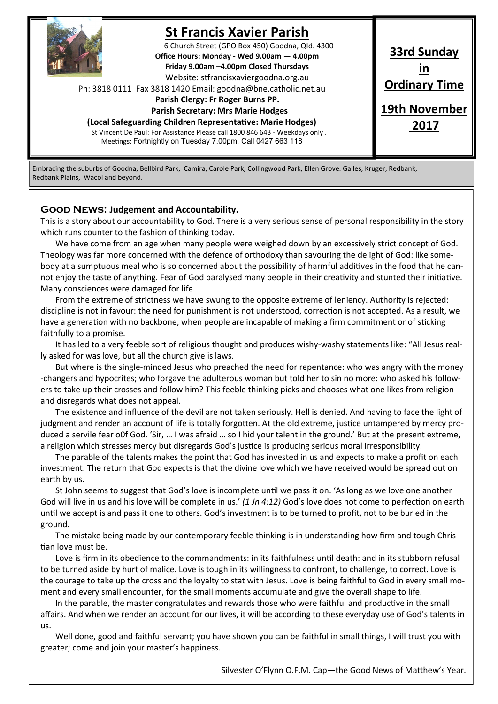

# **St Francis Xavier Parish**

6 Church Street (GPO Box 450) Goodna, Qld. 4300 **Office Hours: Monday - Wed 9.00am — 4.00pm Friday 9.00am –4.00pm Closed Thursdays**  Website: stfrancisxaviergoodna.org.au

Ph: 3818 0111 Fax 3818 1420 Email: goodna@bne.catholic.net.au

 **Parish Clergy: Fr Roger Burns PP.** 

 **Parish Secretary: Mrs Marie Hodges (Local Safeguarding Children Representative: Marie Hodges)**

St Vincent De Paul: For Assistance Please call 1800 846 643 - Weekdays only . Meetings: Fortnightly on Tuesday 7.00pm. Call 0427 663 118

**33rd Sunday in Ordinary Time 19th November 2017**

Embracing the suburbs of Goodna, Bellbird Park, Camira, Carole Park, Collingwood Park, Ellen Grove. Gailes, Kruger, Redbank, Redbank Plains, Wacol and beyond.

#### **Good News: Judgement and Accountability.**

This is a story about our accountability to God. There is a very serious sense of personal responsibility in the story which runs counter to the fashion of thinking today.

We have come from an age when many people were weighed down by an excessively strict concept of God. Theology was far more concerned with the defence of orthodoxy than savouring the delight of God: like somebody at a sumptuous meal who is so concerned about the possibility of harmful additives in the food that he cannot enjoy the taste of anything. Fear of God paralysed many people in their creativity and stunted their initiative. Many consciences were damaged for life.

From the extreme of strictness we have swung to the opposite extreme of leniency. Authority is rejected: discipline is not in favour: the need for punishment is not understood, correction is not accepted. As a result, we have a generation with no backbone, when people are incapable of making a firm commitment or of sticking faithfully to a promise.

It has led to a very feeble sort of religious thought and produces wishy-washy statements like: "All Jesus really asked for was love, but all the church give is laws.

But where is the single-minded Jesus who preached the need for repentance: who was angry with the money -changers and hypocrites; who forgave the adulterous woman but told her to sin no more: who asked his followers to take up their crosses and follow him? This feeble thinking picks and chooses what one likes from religion and disregards what does not appeal.

The existence and influence of the devil are not taken seriously. Hell is denied. And having to face the light of judgment and render an account of life is totally forgotten. At the old extreme, justice untampered by mercy produced a servile fear o0f God. 'Sir, … I was afraid … so I hid your talent in the ground.' But at the present extreme, a religion which stresses mercy but disregards God's justice is producing serious moral irresponsibility.

The parable of the talents makes the point that God has invested in us and expects to make a profit on each investment. The return that God expects is that the divine love which we have received would be spread out on earth by us.

St John seems to suggest that God's love is incomplete until we pass it on. 'As long as we love one another God will live in us and his love will be complete in us.' *(1 Jn 4:12)* God's love does not come to perfection on earth until we accept is and pass it one to others. God's investment is to be turned to profit, not to be buried in the ground.

The mistake being made by our contemporary feeble thinking is in understanding how firm and tough Christian love must be.

Love is firm in its obedience to the commandments: in its faithfulness until death: and in its stubborn refusal to be turned aside by hurt of malice. Love is tough in its willingness to confront, to challenge, to correct. Love is the courage to take up the cross and the loyalty to stat with Jesus. Love is being faithful to God in every small moment and every small encounter, for the small moments accumulate and give the overall shape to life.

In the parable, the master congratulates and rewards those who were faithful and productive in the small affairs. And when we render an account for our lives, it will be according to these everyday use of God's talents in us.

Well done, good and faithful servant; you have shown you can be faithful in small things, I will trust you with greater; come and join your master's happiness.

Silvester O'Flynn O.F.M. Cap—the Good News of Matthew's Year.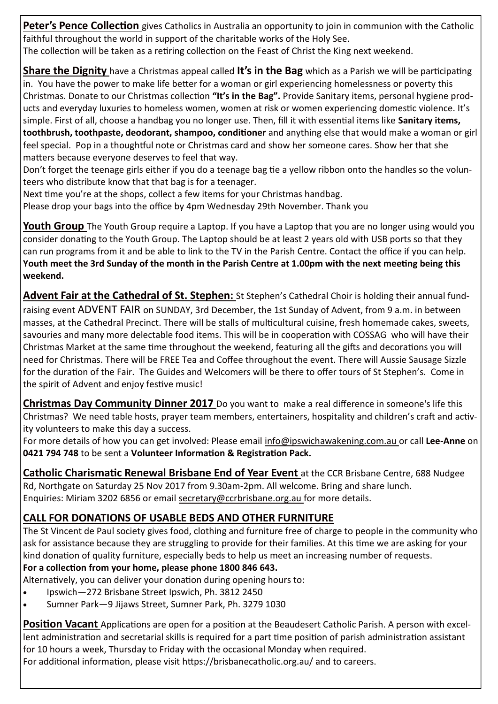Peter's Pence Collection gives Catholics in Australia an opportunity to join in communion with the Catholic faithful throughout the world in support of the charitable works of the Holy See.

The collection will be taken as a retiring collection on the Feast of Christ the King next weekend.

**Share the Dignity** have a Christmas appeal called **It's in the Bag** which as a Parish we will be participating in. You have the power to make life better for a woman or girl experiencing homelessness or poverty this Christmas. Donate to our Christmas collection **"It's in the Bag".** Provide Sanitary items, personal hygiene products and everyday luxuries to homeless women, women at risk or women experiencing domestic violence. It's simple. First of all, choose a handbag you no longer use. Then, fill it with essential items like **Sanitary items, toothbrush, toothpaste, deodorant, shampoo, conditioner** and anything else that would make a woman or girl feel special. Pop in a thoughtful note or Christmas card and show her someone cares. Show her that she matters because everyone deserves to feel that way.

Don't forget the teenage girls either if you do a teenage bag tie a yellow ribbon onto the handles so the volunteers who distribute know that that bag is for a teenager.

Next time you're at the shops, collect a few items for your Christmas handbag. Please drop your bags into the office by 4pm Wednesday 29th November. Thank you

**Youth Group** The Youth Group require a Laptop. If you have a Laptop that you are no longer using would you consider donating to the Youth Group. The Laptop should be at least 2 years old with USB ports so that they can run programs from it and be able to link to the TV in the Parish Centre. Contact the office if you can help. **Youth meet the 3rd Sunday of the month in the Parish Centre at 1.00pm with the next meeting being this weekend.**

**Advent Fair at the Cathedral of St. Stephen:** St Stephen's Cathedral Choir is holding their annual fundraising event ADVENT FAIR on SUNDAY, 3rd December, the 1st Sunday of Advent, from 9 a.m. in between masses, at the Cathedral Precinct. There will be stalls of multicultural cuisine, fresh homemade cakes, sweets, savouries and many more delectable food items. This will be in cooperation with COSSAG who will have their Christmas Market at the same time throughout the weekend, featuring all the gifts and decorations you will need for Christmas. There will be FREE Tea and Coffee throughout the event. There will Aussie Sausage Sizzle for the duration of the Fair. The Guides and Welcomers will be there to offer tours of St Stephen's. Come in the spirit of Advent and enjoy festive music!

**Christmas Day Community Dinner 2017** Do you want to make a real difference in someone's life this Christmas? We need table hosts, prayer team members, entertainers, hospitality and children's craft and activity volunteers to make this day a success.

For more details of how you can get involved: Please email info@ipswichawakening.com.au or call **Lee-Anne** on **0421 794 748** to be sent a **Volunteer Information & Registration Pack.**

**Catholic Charismatic Renewal Brisbane End of Year Event** at the CCR Brisbane Centre, 688 Nudgee Rd, Northgate on Saturday 25 Nov 2017 from 9.30am-2pm. All welcome. Bring and share lunch. Enquiries: Miriam 3202 6856 or email secretary@ccrbrisbane.org.au for more details.

## **CALL FOR DONATIONS OF USABLE BEDS AND OTHER FURNITURE**

The St Vincent de Paul society gives food, clothing and furniture free of charge to people in the community who ask for assistance because they are struggling to provide for their families. At this time we are asking for your kind donation of quality furniture, especially beds to help us meet an increasing number of requests.

## **For a collection from your home, please phone 1800 846 643.**

Alternatively, you can deliver your donation during opening hours to:

- Ipswich—272 Brisbane Street Ipswich, Ph. 3812 2450
- Sumner Park—9 Jijaws Street, Sumner Park, Ph. 3279 1030

**Position Vacant** Applications are open for a position at the Beaudesert Catholic Parish. A person with excellent administration and secretarial skills is required for a part time position of parish administration assistant for 10 hours a week, Thursday to Friday with the occasional Monday when required.

For additional information, please visit https://brisbanecatholic.org.au/ and to careers.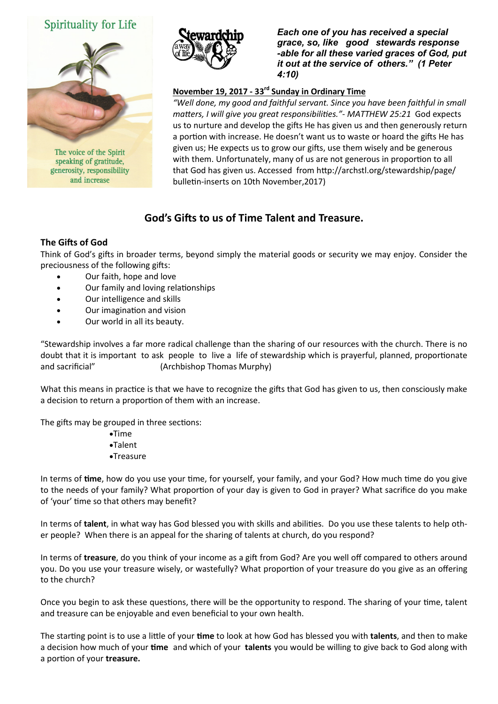## Spirituality for Life



speaking of gratitude, generosity, responsibility and increase



*Each one of you has received a special grace, so, like good stewards response -able for all these varied graces of God, put it out at the service of others." (1 Peter 4:10)* 

#### **November 19, 2017 - 33rd Sunday in Ordinary Time**

*"Well done, my good and faithful servant. Since you have been faithful in small matters, I will give you great responsibilities."- MATTHEW 25:21* God expects us to nurture and develop the gifts He has given us and then generously return a portion with increase. He doesn't want us to waste or hoard the gifts He has given us; He expects us to grow our gifts, use them wisely and be generous with them. Unfortunately, many of us are not generous in proportion to all that God has given us. Accessed from http://archstl.org/stewardship/page/ bulletin-inserts on 10th November,2017)

### **God's Gifts to us of Time Talent and Treasure.**

#### **The Gifts of God**

Think of God's gifts in broader terms, beyond simply the material goods or security we may enjoy. Consider the preciousness of the following gifts:

- Our faith, hope and love
- Our family and loving relationships
- Our intelligence and skills
- Our imagination and vision
- Our world in all its beauty.

"Stewardship involves a far more radical challenge than the sharing of our resources with the church. There is no doubt that it is important to ask people to live a life of stewardship which is prayerful, planned, proportionate and sacrificial" (Archbishop Thomas Murphy)

What this means in practice is that we have to recognize the gifts that God has given to us, then consciously make a decision to return a proportion of them with an increase.

The gifts may be grouped in three sections:

- •Time
- Talent
- Treasure

In terms of **time**, how do you use your time, for yourself, your family, and your God? How much time do you give to the needs of your family? What proportion of your day is given to God in prayer? What sacrifice do you make of 'your' time so that others may benefit?

In terms of **talent**, in what way has God blessed you with skills and abilities. Do you use these talents to help other people? When there is an appeal for the sharing of talents at church, do you respond?

In terms of **treasure**, do you think of your income as a gift from God? Are you well off compared to others around you. Do you use your treasure wisely, or wastefully? What proportion of your treasure do you give as an offering to the church?

Once you begin to ask these questions, there will be the opportunity to respond. The sharing of your time, talent and treasure can be enjoyable and even beneficial to your own health.

The starting point is to use a little of your **time** to look at how God has blessed you with **talents**, and then to make a decision how much of your **time** and which of your **talents** you would be willing to give back to God along with a portion of your **treasure.**